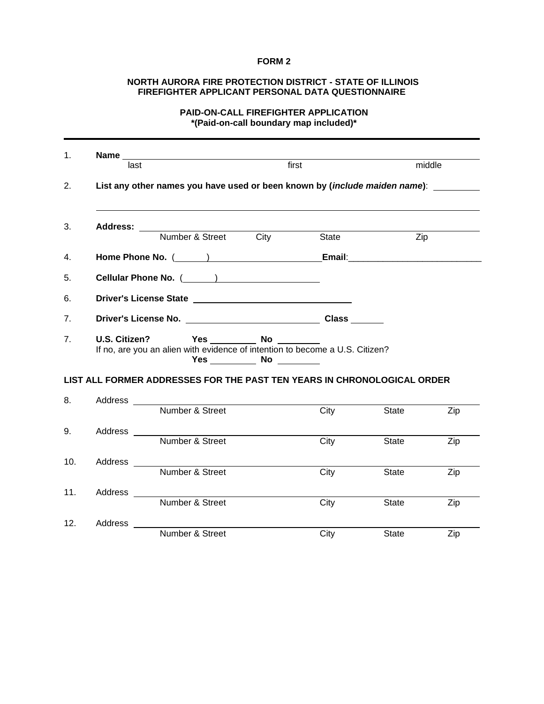### **FORM 2**

#### **NORTH AURORA FIRE PROTECTION DISTRICT - STATE OF ILLINOIS FIREFIGHTER APPLICANT PERSONAL DATA QUESTIONNAIRE**

## **PAID-ON-CALL FIREFIGHTER APPLICATION \*(Paid-on-call boundary map included)\***

| 1.              |                                                                                                      |                                                                                                                                                                                                                                                   |       |       |              |        |  |  |
|-----------------|------------------------------------------------------------------------------------------------------|---------------------------------------------------------------------------------------------------------------------------------------------------------------------------------------------------------------------------------------------------|-------|-------|--------------|--------|--|--|
|                 | last                                                                                                 |                                                                                                                                                                                                                                                   | first |       |              | middle |  |  |
| 2.              |                                                                                                      | List any other names you have used or been known by (include maiden name): ______                                                                                                                                                                 |       |       |              |        |  |  |
| 3.              |                                                                                                      | Number & Street City                                                                                                                                                                                                                              |       | State | Zip          |        |  |  |
| 4.              |                                                                                                      | Home Phone No. ( ) Contract Contract Contract Contract Contract Contract Contract Contract Contract Contract Contract Contract Contract Contract Contract Contract Contract Contract Contract Contract Contract Contract Contr                    |       |       |              |        |  |  |
| 5.              |                                                                                                      |                                                                                                                                                                                                                                                   |       |       |              |        |  |  |
| 6.              |                                                                                                      |                                                                                                                                                                                                                                                   |       |       |              |        |  |  |
| 7.              |                                                                                                      |                                                                                                                                                                                                                                                   |       |       |              |        |  |  |
| 7.              | <b>U.S. Citizen?</b><br>If no, are you an alien with evidence of intention to become a U.S. Citizen? |                                                                                                                                                                                                                                                   |       |       |              |        |  |  |
|                 |                                                                                                      | LIST ALL FORMER ADDRESSES FOR THE PAST TEN YEARS IN CHRONOLOGICAL ORDER                                                                                                                                                                           |       |       |              |        |  |  |
| 8.              |                                                                                                      | Address and the contract of the contract of the contract of the contract of the contract of the contract of the contract of the contract of the contract of the contract of the contract of the contract of the contract of th<br>Number & Street |       | City  | <b>State</b> | Zip    |  |  |
| 9.              |                                                                                                      | Number & Street                                                                                                                                                                                                                                   |       | City  | <b>State</b> | Zip    |  |  |
| 10 <sub>1</sub> | Address ______                                                                                       | Number & Street                                                                                                                                                                                                                                   |       | City  | <b>State</b> | Zip    |  |  |
| 11.             | Address                                                                                              | Number & Street                                                                                                                                                                                                                                   |       | City  | State        | Zip    |  |  |
| 12.             | Address _____                                                                                        | Number & Street                                                                                                                                                                                                                                   |       | City  | State        | Zip    |  |  |
|                 |                                                                                                      |                                                                                                                                                                                                                                                   |       |       |              |        |  |  |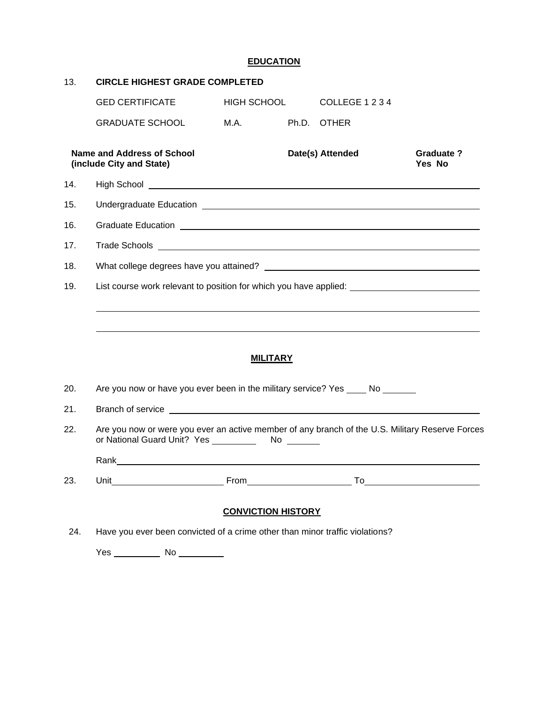## **EDUCATION**

| 13. | <b>CIRCLE HIGHEST GRADE COMPLETED</b>                                                                                                                                                                                                |                           |  |                  |                            |
|-----|--------------------------------------------------------------------------------------------------------------------------------------------------------------------------------------------------------------------------------------|---------------------------|--|------------------|----------------------------|
|     | <b>GED CERTIFICATE</b>                                                                                                                                                                                                               | HIGH SCHOOL               |  | COLLEGE 1 2 3 4  |                            |
|     | <b>GRADUATE SCHOOL</b>                                                                                                                                                                                                               | M.A.                      |  | Ph.D. OTHER      |                            |
|     | <b>Name and Address of School</b><br>(include City and State)                                                                                                                                                                        |                           |  | Date(s) Attended | <b>Graduate?</b><br>Yes No |
| 14. | High School <u>example and the second contract of the second contract of the second contract of the second contract of the second contract of the second contract of the second contract of the second contract of the second co</u> |                           |  |                  |                            |
| 15. |                                                                                                                                                                                                                                      |                           |  |                  |                            |
| 16. | Graduate Education <b>Constitution Constitution Constitution Constitution Constitution Constitution Constitution Constitution Constitution Constitution Constitution Constitution Constitution Constit</b>                           |                           |  |                  |                            |
| 17. |                                                                                                                                                                                                                                      |                           |  |                  |                            |
| 18. |                                                                                                                                                                                                                                      |                           |  |                  |                            |
| 19. | List course work relevant to position for which you have applied:                                                                                                                                                                    |                           |  |                  |                            |
|     |                                                                                                                                                                                                                                      |                           |  |                  |                            |
|     |                                                                                                                                                                                                                                      |                           |  |                  |                            |
|     |                                                                                                                                                                                                                                      | <b>MILITARY</b>           |  |                  |                            |
| 20. | Are you now or have you ever been in the military service? Yes _____ No _______                                                                                                                                                      |                           |  |                  |                            |
| 21. |                                                                                                                                                                                                                                      |                           |  |                  |                            |
| 22. | Are you now or were you ever an active member of any branch of the U.S. Military Reserve Forces                                                                                                                                      |                           |  |                  |                            |
|     |                                                                                                                                                                                                                                      |                           |  |                  |                            |
| 23. | Unit                                                                                                                                                                                                                                 | From                      |  | To               |                            |
|     |                                                                                                                                                                                                                                      | <b>CONVICTION HISTORY</b> |  |                  |                            |
| 24. | Have you ever been convicted of a crime other than minor traffic violations?                                                                                                                                                         |                           |  |                  |                            |
|     | Yes<br>No                                                                                                                                                                                                                            |                           |  |                  |                            |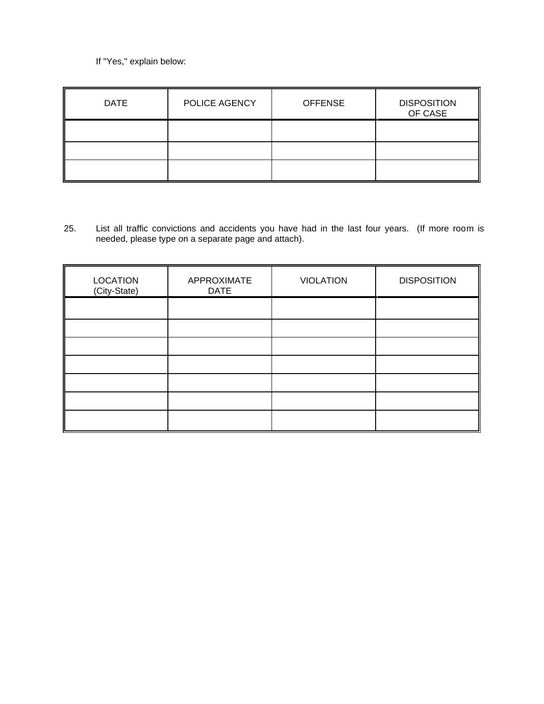If "Yes," explain below:

| <b>DATE</b> | POLICE AGENCY | <b>OFFENSE</b> | <b>DISPOSITION</b><br>OF CASE |
|-------------|---------------|----------------|-------------------------------|
|             |               |                |                               |
|             |               |                |                               |
|             |               |                |                               |

25. List all traffic convictions and accidents you have had in the last four years. (If more room is needed, please type on a separate page and attach).

| <b>LOCATION</b><br>(City-State) | APPROXIMATE<br><b>DATE</b> | <b>VIOLATION</b> | <b>DISPOSITION</b> |
|---------------------------------|----------------------------|------------------|--------------------|
|                                 |                            |                  |                    |
|                                 |                            |                  |                    |
|                                 |                            |                  |                    |
|                                 |                            |                  |                    |
|                                 |                            |                  |                    |
|                                 |                            |                  |                    |
|                                 |                            |                  |                    |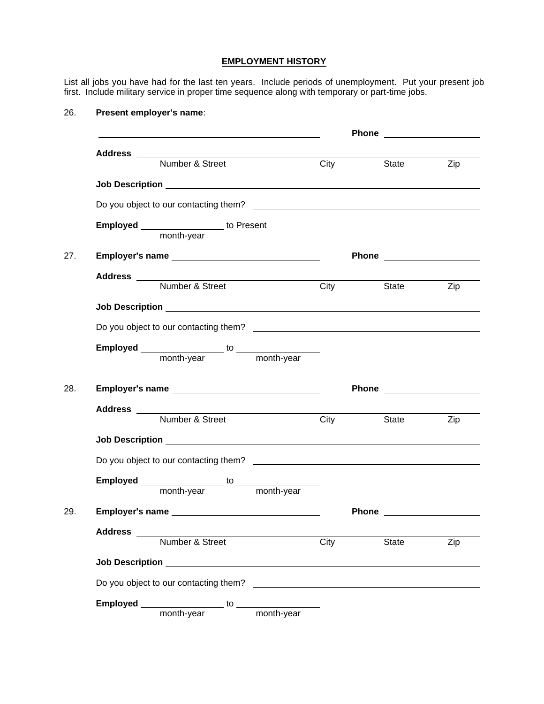#### **EMPLOYMENT HISTORY**

List all jobs you have had for the last ten years. Include periods of unemployment. Put your present job first. Include military service in proper time sequence along with temporary or part-time jobs.

### 26. **Present employer's name**:

|                        | Address<br>Number & Street                                   | <b>City</b>              | State Zip              |     |
|------------------------|--------------------------------------------------------------|--------------------------|------------------------|-----|
|                        |                                                              |                          |                        |     |
|                        |                                                              |                          |                        |     |
|                        |                                                              |                          |                        |     |
|                        | <b>Employed</b> ________________ to Present                  |                          |                        |     |
|                        |                                                              |                          |                        |     |
|                        |                                                              |                          |                        |     |
|                        |                                                              |                          | State                  | Zip |
|                        |                                                              |                          |                        |     |
|                        |                                                              |                          |                        |     |
|                        |                                                              |                          |                        |     |
|                        |                                                              |                          |                        |     |
|                        |                                                              |                          | Phone <u>superiors</u> |     |
|                        |                                                              |                          |                        |     |
|                        |                                                              | $\overline{\text{City}}$ | State <b>State</b>     | Zip |
|                        |                                                              |                          |                        |     |
|                        |                                                              |                          |                        |     |
|                        |                                                              |                          |                        |     |
|                        |                                                              |                          |                        |     |
|                        |                                                              |                          | Phone _____________    |     |
| <b>Address</b>         | Number & Street                                              | City                     | State                  | Zip |
|                        |                                                              |                          |                        |     |
| <b>Job Description</b> |                                                              |                          |                        |     |
|                        |                                                              |                          |                        |     |
|                        | Employed ___________________ to ___<br>month-year month-year |                          |                        |     |
|                        |                                                              |                          |                        |     |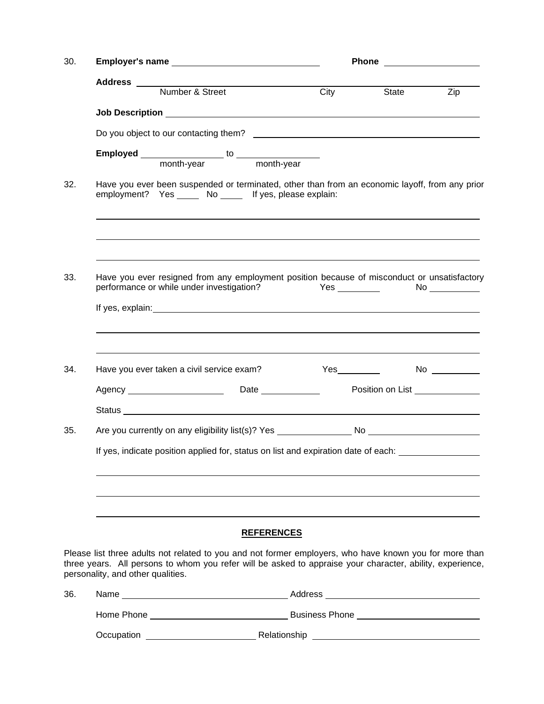| 30. |                                   |                                                                                                                                                                                                                     |                   |      | Phone _____________________ |           |  |
|-----|-----------------------------------|---------------------------------------------------------------------------------------------------------------------------------------------------------------------------------------------------------------------|-------------------|------|-----------------------------|-----------|--|
|     |                                   | Address<br>Number & Street<br>C                                                                                                                                                                                     |                   |      |                             |           |  |
|     |                                   |                                                                                                                                                                                                                     |                   | City | State                       | Zip       |  |
|     |                                   |                                                                                                                                                                                                                     |                   |      |                             |           |  |
|     |                                   |                                                                                                                                                                                                                     |                   |      |                             |           |  |
|     |                                   |                                                                                                                                                                                                                     |                   |      |                             |           |  |
| 32. |                                   | Have you ever been suspended or terminated, other than from an economic layoff, from any prior<br>employment? Yes ______ No ______ If yes, please explain:                                                          |                   |      |                             |           |  |
|     |                                   |                                                                                                                                                                                                                     |                   |      |                             |           |  |
| 33. |                                   | Have you ever resigned from any employment position because of misconduct or unsatisfactory<br>performance or while under investigation? The Mes Community Controllery Mo Community Presumers, No. 2014.            |                   |      |                             |           |  |
|     |                                   |                                                                                                                                                                                                                     |                   |      |                             |           |  |
|     |                                   |                                                                                                                                                                                                                     |                   |      |                             |           |  |
| 34. |                                   | Have you ever taken a civil service exam?                                                                                                                                                                           |                   |      |                             | $No \ \_$ |  |
|     |                                   |                                                                                                                                                                                                                     |                   |      |                             |           |  |
|     |                                   |                                                                                                                                                                                                                     |                   |      |                             |           |  |
| 35. |                                   |                                                                                                                                                                                                                     |                   |      |                             |           |  |
|     |                                   | If yes, indicate position applied for, status on list and expiration date of each:                                                                                                                                  |                   |      |                             |           |  |
|     |                                   |                                                                                                                                                                                                                     | <b>REFERENCES</b> |      |                             |           |  |
|     | personality, and other qualities. | Please list three adults not related to you and not former employers, who have known you for more than<br>three years. All persons to whom you refer will be asked to appraise your character, ability, experience, |                   |      |                             |           |  |
| 36. |                                   |                                                                                                                                                                                                                     |                   |      |                             |           |  |
|     |                                   |                                                                                                                                                                                                                     |                   |      |                             |           |  |
|     |                                   |                                                                                                                                                                                                                     |                   |      |                             |           |  |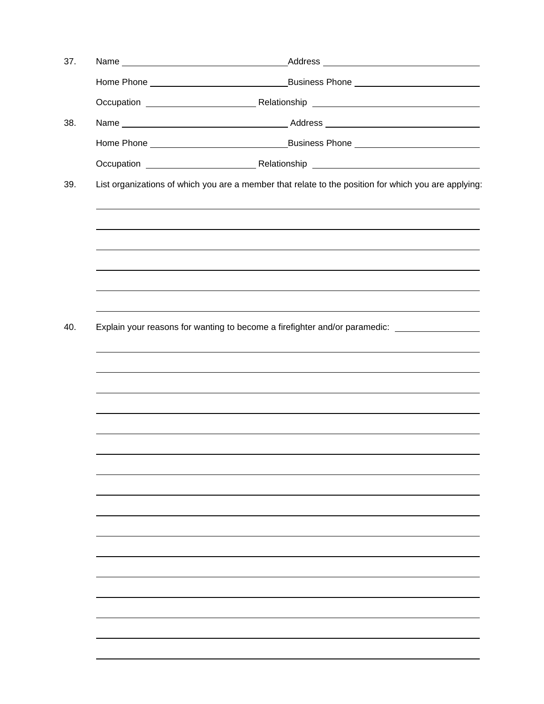| 37. | Name                                                                                                 |  |  |  |  |
|-----|------------------------------------------------------------------------------------------------------|--|--|--|--|
|     |                                                                                                      |  |  |  |  |
|     |                                                                                                      |  |  |  |  |
| 38. |                                                                                                      |  |  |  |  |
|     |                                                                                                      |  |  |  |  |
|     |                                                                                                      |  |  |  |  |
| 39. | List organizations of which you are a member that relate to the position for which you are applying: |  |  |  |  |
|     |                                                                                                      |  |  |  |  |
|     |                                                                                                      |  |  |  |  |
|     |                                                                                                      |  |  |  |  |
| 40. | Explain your reasons for wanting to become a firefighter and/or paramedic: ________________________  |  |  |  |  |
|     |                                                                                                      |  |  |  |  |
|     |                                                                                                      |  |  |  |  |
|     |                                                                                                      |  |  |  |  |
|     |                                                                                                      |  |  |  |  |
|     |                                                                                                      |  |  |  |  |
|     |                                                                                                      |  |  |  |  |
|     |                                                                                                      |  |  |  |  |
|     |                                                                                                      |  |  |  |  |
|     |                                                                                                      |  |  |  |  |
|     |                                                                                                      |  |  |  |  |
|     |                                                                                                      |  |  |  |  |
|     |                                                                                                      |  |  |  |  |
|     |                                                                                                      |  |  |  |  |
|     |                                                                                                      |  |  |  |  |
|     |                                                                                                      |  |  |  |  |
|     |                                                                                                      |  |  |  |  |
|     |                                                                                                      |  |  |  |  |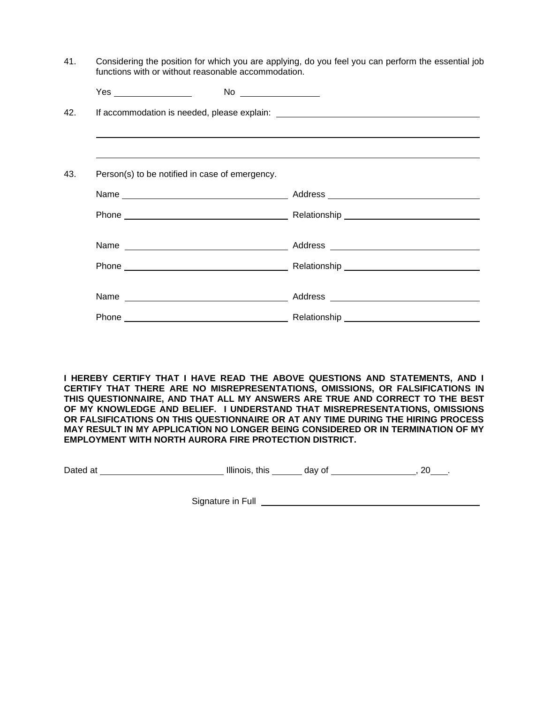| functions with or without reasonable accommodation. | Considering the position for which you are applying, do you feel you can perform the essential job |
|-----------------------------------------------------|----------------------------------------------------------------------------------------------------|
|                                                     |                                                                                                    |
|                                                     |                                                                                                    |
|                                                     |                                                                                                    |
|                                                     |                                                                                                    |
|                                                     |                                                                                                    |
|                                                     |                                                                                                    |
|                                                     |                                                                                                    |
|                                                     |                                                                                                    |
|                                                     |                                                                                                    |
|                                                     | Person(s) to be notified in case of emergency.                                                     |

| Name  | Address      |  |
|-------|--------------|--|
| Phone | Relationship |  |

**I HEREBY CERTIFY THAT I HAVE READ THE ABOVE QUESTIONS AND STATEMENTS, AND I CERTIFY THAT THERE ARE NO MISREPRESENTATIONS, OMISSIONS, OR FALSIFICATIONS IN THIS QUESTIONNAIRE, AND THAT ALL MY ANSWERS ARE TRUE AND CORRECT TO THE BEST OF MY KNOWLEDGE AND BELIEF. I UNDERSTAND THAT MISREPRESENTATIONS, OMISSIONS OR FALSIFICATIONS ON THIS QUESTIONNAIRE OR AT ANY TIME DURING THE HIRING PROCESS MAY RESULT IN MY APPLICATION NO LONGER BEING CONSIDERED OR IN TERMINATION OF MY EMPLOYMENT WITH NORTH AURORA FIRE PROTECTION DISTRICT.**

Dated at The Illinois, this day of the contract of the Mated at the Mated at the Mated at  $\sim$  , 20  $\pm$ 

Signature in Full **Constant Constant Constant Constant Constant Constant Constant Constant Constant Constant Constant Constant Constant Constant Constant Constant Constant Constant Constant Constant Constant Constant Const**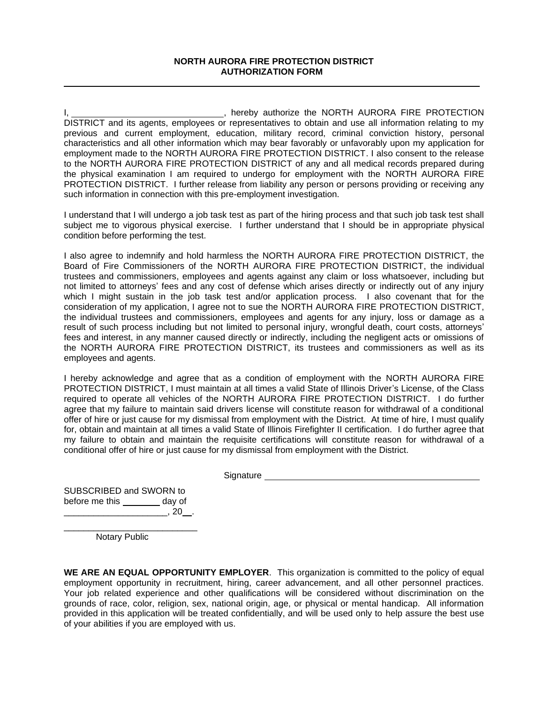#### **NORTH AURORA FIRE PROTECTION DISTRICT AUTHORIZATION FORM**

I, 1. All 2008 Controllers and the North AURORA FIRE PROTECTION DISTRICT and its agents, employees or representatives to obtain and use all information relating to my previous and current employment, education, military record, criminal conviction history, personal characteristics and all other information which may bear favorably or unfavorably upon my application for employment made to the NORTH AURORA FIRE PROTECTION DISTRICT. I also consent to the release to the NORTH AURORA FIRE PROTECTION DISTRICT of any and all medical records prepared during the physical examination I am required to undergo for employment with the NORTH AURORA FIRE PROTECTION DISTRICT. I further release from liability any person or persons providing or receiving any such information in connection with this pre-employment investigation.

I understand that I will undergo a job task test as part of the hiring process and that such job task test shall subject me to vigorous physical exercise. I further understand that I should be in appropriate physical condition before performing the test.

I also agree to indemnify and hold harmless the NORTH AURORA FIRE PROTECTION DISTRICT, the Board of Fire Commissioners of the NORTH AURORA FIRE PROTECTION DISTRICT, the individual trustees and commissioners, employees and agents against any claim or loss whatsoever, including but not limited to attorneys' fees and any cost of defense which arises directly or indirectly out of any injury which I might sustain in the job task test and/or application process. I also covenant that for the consideration of my application, I agree not to sue the NORTH AURORA FIRE PROTECTION DISTRICT, the individual trustees and commissioners, employees and agents for any injury, loss or damage as a result of such process including but not limited to personal injury, wrongful death, court costs, attorneys' fees and interest, in any manner caused directly or indirectly, including the negligent acts or omissions of the NORTH AURORA FIRE PROTECTION DISTRICT, its trustees and commissioners as well as its employees and agents.

I hereby acknowledge and agree that as a condition of employment with the NORTH AURORA FIRE PROTECTION DISTRICT, I must maintain at all times a valid State of Illinois Driver's License, of the Class required to operate all vehicles of the NORTH AURORA FIRE PROTECTION DISTRICT. I do further agree that my failure to maintain said drivers license will constitute reason for withdrawal of a conditional offer of hire or just cause for my dismissal from employment with the District. At time of hire, I must qualify for, obtain and maintain at all times a valid State of Illinois Firefighter II certification. I do further agree that my failure to obtain and maintain the requisite certifications will constitute reason for withdrawal of a conditional offer of hire or just cause for my dismissal from employment with the District.

**Signature** extended to the state of the state of the state of the state of the state of the state of the state of the state of the state of the state of the state of the state of the state of the state of the state of the

SUBSCRIBED and SWORN to before me this \_\_\_\_\_\_\_\_ day of  $\frac{1}{20}$ , 20  $\frac{1}{20}$ .

\_\_\_\_\_\_\_\_\_\_\_\_\_\_\_\_\_\_\_\_\_\_\_\_\_\_\_ Notary Public

**WE ARE AN EQUAL OPPORTUNITY EMPLOYER**. This organization is committed to the policy of equal employment opportunity in recruitment, hiring, career advancement, and all other personnel practices. Your job related experience and other qualifications will be considered without discrimination on the grounds of race, color, religion, sex, national origin, age, or physical or mental handicap. All information provided in this application will be treated confidentially, and will be used only to help assure the best use of your abilities if you are employed with us.